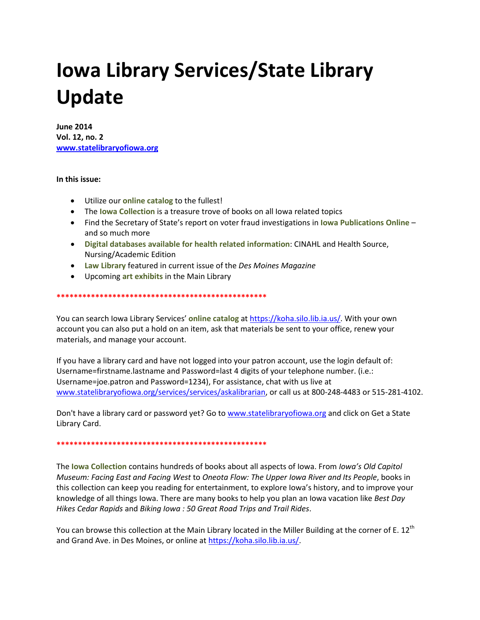# **Iowa Library Services/State Library Update**

**June 2014** Vol. 12, no. 2 www.statelibraryofiowa.org

## In this issue:

- Utilize our **online catalog** to the fullest!
- The lowa Collection is a treasure trove of books on all lowa related topics
- Find the Secretary of State's report on voter fraud investigations in lowa Publications Online and so much more
- Digital databases available for health related information: CINAHL and Health Source, Nursing/Academic Edition
- Law Library featured in current issue of the Des Moines Magazine
- Upcoming art exhibits in the Main Library

You can search lowa Library Services' online catalog at https://koha.silo.lib.ia.us/. With your own

account you can also put a hold on an item, ask that materials be sent to your office, renew your materials, and manage your account.

If you have a library card and have not logged into your patron account, use the login default of: Username=firstname.lastname and Password=last 4 digits of your telephone number. (i.e.: Username=joe.patron and Password=1234), For assistance, chat with us live at www.statelibraryofiowa.org/services/services/askalibrarian, or call us at 800-248-4483 or 515-281-4102.

Don't have a library card or password yet? Go to www.statelibraryofiowa.org and click on Get a State Library Card.

The lowa Collection contains hundreds of books about all aspects of lowa. From lowa's Old Capitol Museum: Facing East and Facing West to Oneota Flow: The Upper Iowa River and Its People, books in this collection can keep you reading for entertainment, to explore lowa's history, and to improve your knowledge of all things lowa. There are many books to help you plan an lowa vacation like Best Day Hikes Cedar Rapids and Biking Iowa: 50 Great Road Trips and Trail Rides.

You can browse this collection at the Main Library located in the Miller Building at the corner of E. 12<sup>th</sup> and Grand Ave. in Des Moines, or online at https://koha.silo.lib.ia.us/.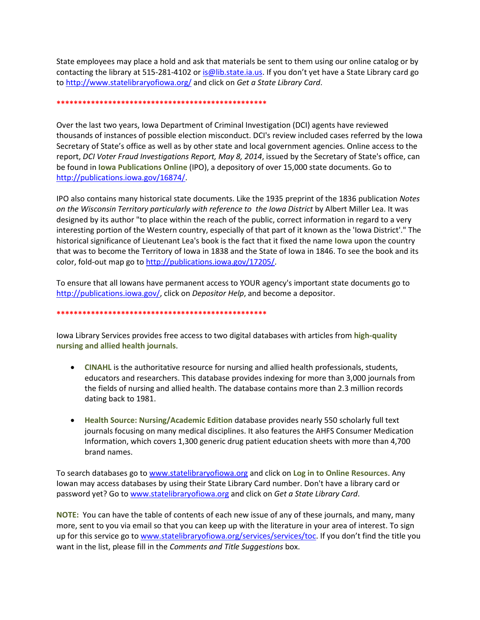State employees may place a hold and ask that materials be sent to them using our online catalog or by contacting the library at 515-281-4102 or is @lib.state.ia.us. If you don't yet have a State Library card go to<http://www.statelibraryofiowa.org/> and click on *Get a State Library Card*.

#### **\*\*\*\*\*\*\*\*\*\*\*\*\*\*\*\*\*\*\*\*\*\*\*\*\*\*\*\*\*\*\*\*\*\*\*\*\*\*\*\*\*\*\*\*\*\*\*\*\***

Over the last two years, Iowa Department of Criminal Investigation (DCI) agents have reviewed thousands of instances of possible election misconduct. DCI's review included cases referred by the Iowa Secretary of State's office as well as by other state and local government agencies. Online access to the report, *DCI Voter Fraud Investigations Report, May 8, 2014*, issued by the Secretary of State's office, can be found in **Iowa Publications Online** (IPO), a depository of over 15,000 state documents. Go to [http://publications.iowa.gov/16874/.](http://publications.iowa.gov/16874/)

IPO also contains many historical state documents. Like the 1935 preprint of the 1836 publication *Notes on the Wisconsin Territory particularly with reference to the Iowa District* by Albert Miller Lea. It was designed by its author "to place within the reach of the public, correct information in regard to a very interesting portion of the Western country, especially of that part of it known as the 'Iowa District'." The historical significance of Lieutenant Lea's book is the fact that it fixed the name **Iowa** upon the country that was to become the Territory of Iowa in 1838 and the State of Iowa in 1846. To see the book and its color, fold-out map go to [http://publications.iowa.gov/17205/.](http://publications.iowa.gov/17205/)

To ensure that all Iowans have permanent access to YOUR agency's important state documents go to [http://publications.iowa.gov/,](http://publications.iowa.gov/) click on *Depositor Help*, and become a depositor.

### **\*\*\*\*\*\*\*\*\*\*\*\*\*\*\*\*\*\*\*\*\*\*\*\*\*\*\*\*\*\*\*\*\*\*\*\*\*\*\*\*\*\*\*\*\*\*\*\*\***

Iowa Library Services provides free access to two digital databases with articles from **high-quality nursing and allied health journals**.

- **CINAHL** is the authoritative resource for nursing and allied health professionals, students, educators and researchers. This database provides indexing for more than 3,000 journals from the fields of nursing and allied health. The database contains more than 2.3 million records dating back to 1981.
- **Health Source: Nursing/Academic Edition** database provides nearly 550 scholarly full text journals focusing on many medical disciplines. It also features the AHFS Consumer Medication Information, which covers 1,300 generic drug patient education sheets with more than 4,700 brand names.

To search databases go t[o www.statelibraryofiowa.org](http://www.statelibraryofiowa.org/) and click on **Log in to Online Resources**. Any Iowan may access databases by using their State Library Card number. Don't have a library card or password yet? Go to [www.statelibraryofiowa.org](http://www.statelibraryofiowa.org/) and click on *Get a State Library Card*.

**NOTE:** You can have the table of contents of each new issue of any of these journals, and many, many more, sent to you via email so that you can keep up with the literature in your area of interest. To sign up for this service go t[o www.statelibraryofiowa.org/services/services/toc.](http://www.statelibraryofiowa.org/services/services/toc) If you don't find the title you want in the list, please fill in the *Comments and Title Suggestions* box.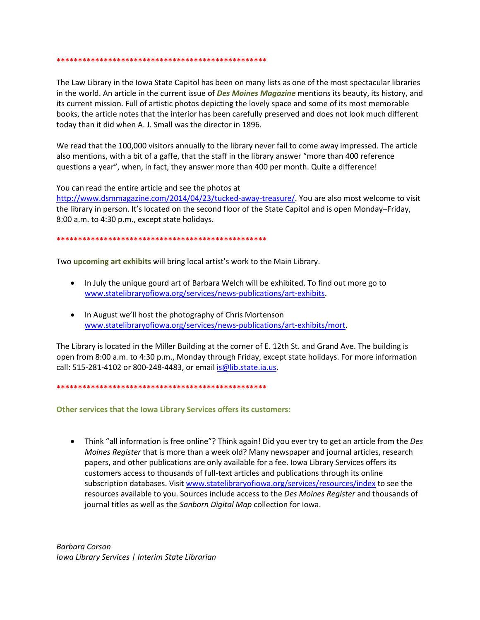The Law Library in the Iowa State Capitol has been on many lists as one of the most spectacular libraries in the world. An article in the current issue of Des Moines Magazine mentions its beauty, its history, and its current mission. Full of artistic photos depicting the lovely space and some of its most memorable books, the article notes that the interior has been carefully preserved and does not look much different today than it did when A. J. Small was the director in 1896.

We read that the 100,000 visitors annually to the library never fail to come away impressed. The article also mentions, with a bit of a gaffe, that the staff in the library answer "more than 400 reference questions a year", when, in fact, they answer more than 400 per month. Quite a difference!

You can read the entire article and see the photos at

http://www.dsmmagazine.com/2014/04/23/tucked-away-treasure/. You are also most welcome to visit the library in person. It's located on the second floor of the State Capitol and is open Monday–Friday, 8:00 a.m. to 4:30 p.m., except state holidays.

#### 

Two upcoming art exhibits will bring local artist's work to the Main Library.

- In July the unique gourd art of Barbara Welch will be exhibited. To find out more go to www.statelibraryofiowa.org/services/news-publications/art-exhibits.
- In August we'll host the photography of Chris Mortenson www.statelibraryofiowa.org/services/news-publications/art-exhibits/mort.

The Library is located in the Miller Building at the corner of E. 12th St. and Grand Ave. The building is open from 8:00 a.m. to 4:30 p.m., Monday through Friday, except state holidays. For more information call: 515-281-4102 or 800-248-4483, or email is @lib.state.ia.us.

Other services that the Iowa Library Services offers its customers:

• Think "all information is free online"? Think again! Did you ever try to get an article from the Des Moines Register that is more than a week old? Many newspaper and journal articles, research papers, and other publications are only available for a fee. Iowa Library Services offers its customers access to thousands of full-text articles and publications through its online subscription databases. Visit www.statelibraryofiowa.org/services/resources/index to see the resources available to you. Sources include access to the Des Moines Register and thousands of journal titles as well as the Sanborn Digital Map collection for Iowa.

**Barbara Corson** Iowa Library Services | Interim State Librarian